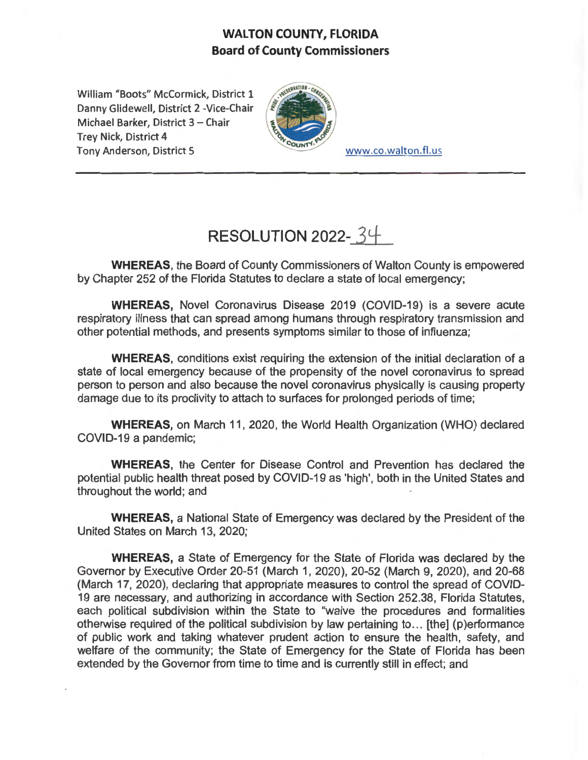## **WALTON COUNTY, FLORIDA Board of County Commissioners**

William "Boots" McCormick, District 1 Danny Glidewell, District 2 -Vice-Chair Michael Barker, District 3 - Chair Trey Nick, District 4 Tony Anderson, District 5 www.co.walton.fl.us



## **RESOLUTION 2022-** *3±*

**WHEREAS,** the Board of County Commissioners of Walton County is empowered by Chapter 252 of the Florida Statutes to declare a state of local emergency;

**WHEREAS,** Novel Coronavirus Disease 2019 (COVID-19) is a severe acute respiratory illness that can spread among humans through respiratory transmission and other potential methods, and presents symptoms similar to those of influenza;

**WHEREAS,** conditions exist requiring the extension of the initial declaration of a state of local emergency because of the propensity of the novel coronavirus to spread person to person and also because the novel coronavirus physically is causing property damage due to its proclivity to attach to surfaces for prolonged periods of time;

**WHEREAS,** on March 11, 2020, the World Health Organization (WHO) declared COVID-19 a pandemic;

**WHEREAS,** the Center for Disease Control and Prevention has declared the potential public health threat posed by COVID-19 as 'high', both in the United States and throughout the world; and

**WHEREAS,** a National State of Emergency was declared by the President of the United States on March 13, 2020;

**WHEREAS,** a State of Emergency for the State of Florida was declared by the Governor by Executive Order 20-51 (March 1, 2020), 20-52 (March 9, 2020), and 20-68 (March 17, 2020), declaring that appropriate measures to control the spread of COVID-19 are necessary, and authorizing in accordance with Section 252.38, Florida Statutes, each political subdivision within the State to "waive the procedures and formalities otherwise required of the political subdivision by law pertaining to ... [the] (p)erformance of public work and taking whatever prudent action to ensure the health, safety, and welfare of the community; the State of Emergency for the State of Florida has been extended by the Governor from time to time and is currently still in effect; and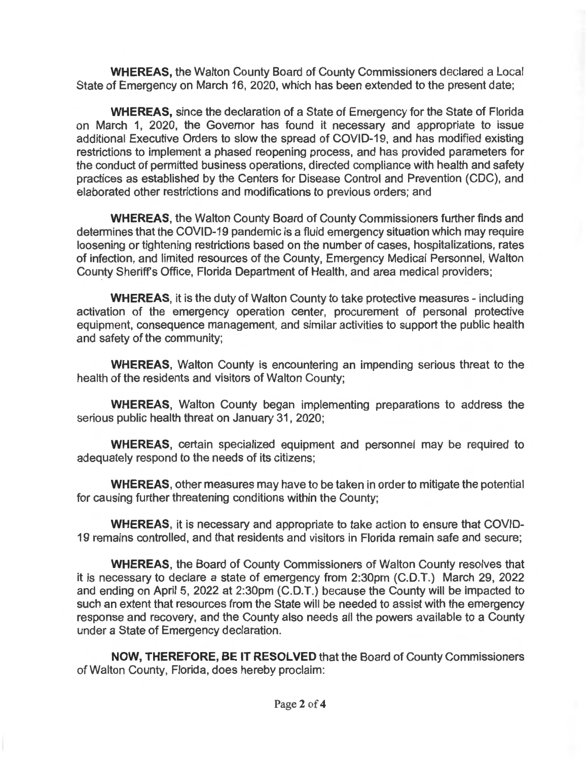**WHEREAS,** the Walton County Board of County Commissioners declared a Local State of Emergency on March 16, 2020, which has been extended to the present date;

**WHEREAS,** since the declaration of a State of Emergency for the State of Florida on March 1, 2020, the Governor has found it necessary and appropriate to issue additional Executive Orders to slow the spread of COVID-19, and has modified existing restrictions to implement a phased reopening process, and has provided parameters for the conduct of permitted business operations, directed compliance with health and safety practices as established by the Centers for Disease Control and Prevention (CDC), and elaborated other restrictions and modifications to previous orders; and

**WHEREAS,** the Walton County Board of County Commissioners further finds and determines that the COVID-19 pandemic is a fluid emergency situation which may require loosening or tightening restrictions based on the number of cases, hospitalizations, rates of infection, and limited resources of the County, Emergency Medical Personnel, Walton County Sheriff's Office, Florida Department of Health, and area medical providers;

**WHEREAS,** it is the duty of Walton County to take protective measures - including activation of the emergency operation center, procurement of personal protective equipment, consequence management, and similar activities to support the public health and safety of the community;

**WHEREAS,** Walton County is encountering an impending serious threat to the health of the residents and visitors of Walton County;

**WHEREAS,** Walton County began implementing preparations to address the serious public health threat on January 31, 2020;

**WHEREAS,** certain specialized equipment and personnel may be required to adequately respond to the needs of its citizens;

**WHEREAS,** other measures may have to be taken in order to mitigate the potential for causing further threatening conditions within the County;

**WHEREAS,** it is necessary and appropriate to take action to ensure that COVID-19 remains controlled, and that residents and visitors in Florida remain safe and secure;

**WHEREAS,** the Board of County Commissioners of Walton County resolves that it is necessary to declare a state of emergency from 2:30pm (C.D.T.) March 29, 2022 and ending on April 5, 2022 at 2:30pm (C.D.T.) because the County will be impacted to such an extent that resources from the State will be needed to assist with the emergency response and recovery, and the County also needs all the powers available to a County under a State of Emergency declaration.

**NOW, THEREFORE, BE IT RESOLVED** that the Board of County Commissioners of Walton County, Florida, does hereby proclaim: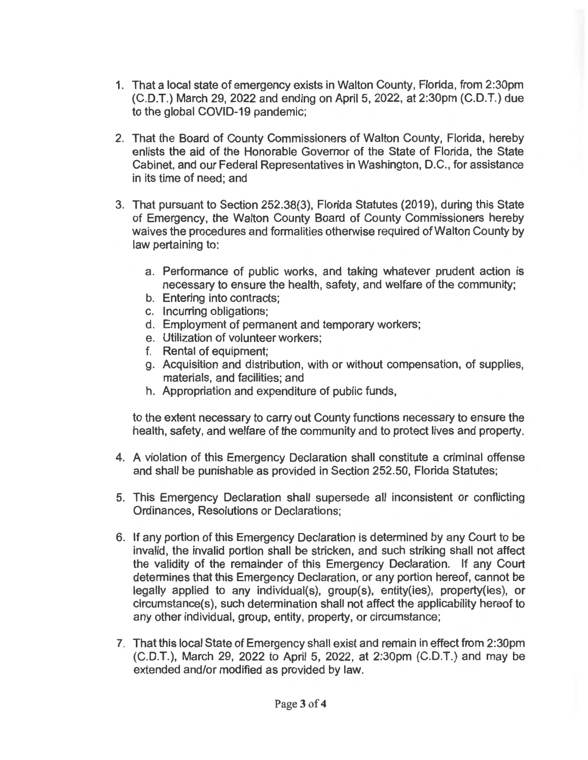- 1. That a local state of emergency exists in Walton County, Florida, from 2:30pm (C.D.T.) March 29, 2022 and ending on April 5, 2022, at 2:30pm (C.D.T.) due to the global COVID-19 pandemic;
- 2. That the Board of County Commissioners of Walton County, Florida, hereby enlists the aid of the Honorable Governor of the State of Florida, the State Cabinet, and our Federal Representatives in Washington, D.C. , for assistance in its time of need; and
- 3. That pursuant to Section 252.38(3), Florida Statutes (2019), during this State of Emergency, the Walton County Board of County Commissioners hereby waives the procedures and formalities otherwise required of Walton County by law pertaining to:
	- a. Performance of public works, and taking whatever prudent action is necessary to ensure the health, safety, and welfare of the community;
	- b. Entering into contracts;
	- c. Incurring obligations;
	- d. Employment of permanent and temporary workers;
	- e. Utilization of volunteer workers;
	- f. Rental of equipment;
	- g. Acquisition and distribution, with or without compensation, of supplies, materials, and facilities; and
	- h. Appropriation and expenditure of public funds,

to the extent necessary to carry out County functions necessary to ensure the health, safety, and welfare of the community and to protect lives and property.

- 4. A violation of this Emergency Declaration shall constitute a criminal offense and shall be punishable as provided in Section 252.50, Florida Statutes;
- 5. This Emergency Declaration shall supersede all inconsistent or conflicting Ordinances, Resolutions or Declarations;
- 6. If any portion of this Emergency Declaration is determined by any Court to be invalid, the invalid portion shall be stricken, and such striking shall not affect the validity of the remainder of this Emergency Declaration. If any Court determines that this Emergency Declaration, or any portion hereof, cannot be legally applied to any individual(s), group(s), entity(ies), property(ies), or circumstance(s), such determination shall not affect the applicability hereof to any other individual, group, entity, property, or circumstance;
- 7. That this local State of Emergency shall exist and remain in effect from 2:30pm (C.D.T.), March 29, 2022 to April 5, 2022, at 2:30pm (C.D.T.) and may be extended and/or modified as provided by law.